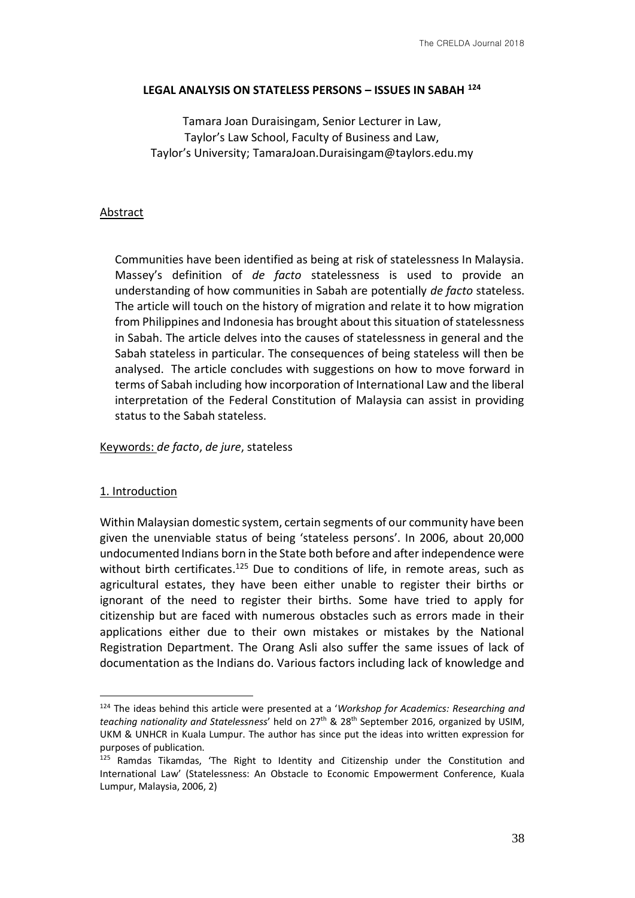### **LEGAL ANALYSIS ON STATELESS PERSONS – ISSUES IN SABAH <sup>124</sup>**

Tamara Joan Duraisingam, Senior Lecturer in Law, Taylor's Law School, Faculty of Business and Law, Taylor's University; TamaraJoan.Duraisingam@taylors.edu.my

# Abstract

Communities have been identified as being at risk of statelessness In Malaysia. Massey's definition of *de facto* statelessness is used to provide an understanding of how communities in Sabah are potentially *de facto* stateless. The article will touch on the history of migration and relate it to how migration from Philippines and Indonesia has brought about this situation of statelessness in Sabah. The article delves into the causes of statelessness in general and the Sabah stateless in particular. The consequences of being stateless will then be analysed. The article concludes with suggestions on how to move forward in terms of Sabah including how incorporation of International Law and the liberal interpretation of the Federal Constitution of Malaysia can assist in providing status to the Sabah stateless.

### Keywords: *de facto*, *de jure*, stateless

#### 1. Introduction

<u>.</u>

Within Malaysian domestic system, certain segments of our community have been given the unenviable status of being 'stateless persons'. In 2006, about 20,000 undocumented Indians born in the State both before and after independence were without birth certificates.<sup>125</sup> Due to conditions of life, in remote areas, such as agricultural estates, they have been either unable to register their births or ignorant of the need to register their births. Some have tried to apply for citizenship but are faced with numerous obstacles such as errors made in their applications either due to their own mistakes or mistakes by the National Registration Department. The Orang Asli also suffer the same issues of lack of documentation as the Indians do. Various factors including lack of knowledge and

<sup>124</sup> The ideas behind this article were presented at a '*Workshop for Academics: Researching and teaching nationality and Statelessness*' held on 27th & 28th September 2016, organized by USIM, UKM & UNHCR in Kuala Lumpur. The author has since put the ideas into written expression for purposes of publication.

<sup>&</sup>lt;sup>125</sup> Ramdas Tikamdas, 'The Right to Identity and Citizenship under the Constitution and International Law' (Statelessness: An Obstacle to Economic Empowerment Conference, Kuala Lumpur, Malaysia, 2006, 2)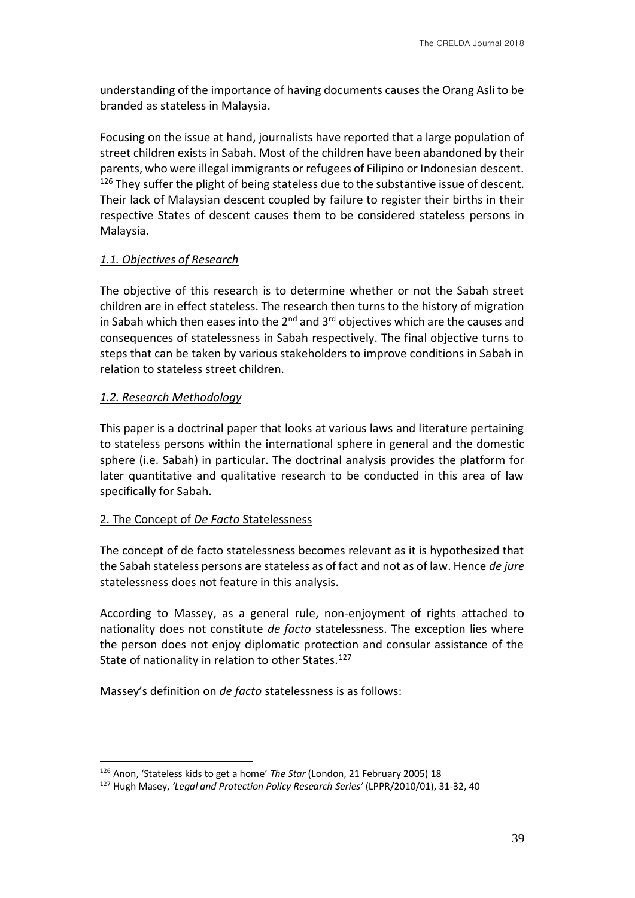understanding of the importance of having documents causes the Orang Asli to be branded as stateless in Malaysia.

Focusing on the issue at hand, journalists have reported that a large population of street children exists in Sabah. Most of the children have been abandoned by their parents, who were illegal immigrants or refugees of Filipino or Indonesian descent.  $126$  They suffer the plight of being stateless due to the substantive issue of descent. Their lack of Malaysian descent coupled by failure to register their births in their respective States of descent causes them to be considered stateless persons in Malaysia.

# *1.1. Objectives of Research*

The objective of this research is to determine whether or not the Sabah street children are in effect stateless. The research then turns to the history of migration in Sabah which then eases into the  $2^{nd}$  and  $3^{rd}$  objectives which are the causes and consequences of statelessness in Sabah respectively. The final objective turns to steps that can be taken by various stakeholders to improve conditions in Sabah in relation to stateless street children.

# *1.2. Research Methodology*

<u>.</u>

This paper is a doctrinal paper that looks at various laws and literature pertaining to stateless persons within the international sphere in general and the domestic sphere (i.e. Sabah) in particular. The doctrinal analysis provides the platform for later quantitative and qualitative research to be conducted in this area of law specifically for Sabah.

# 2. The Concept of *De Facto* Statelessness

The concept of de facto statelessness becomes relevant as it is hypothesized that the Sabah stateless persons are stateless as of fact and not as of law. Hence *de jure* statelessness does not feature in this analysis.

According to Massey, as a general rule, non-enjoyment of rights attached to nationality does not constitute *de facto* statelessness. The exception lies where the person does not enjoy diplomatic protection and consular assistance of the State of nationality in relation to other States.<sup>127</sup>

Massey's definition on *de facto* statelessness is as follows:

<sup>126</sup> Anon, 'Stateless kids to get a home' *The Star* (London, 21 February 2005) 18

<sup>127</sup> Hugh Masey, *'Legal and Protection Policy Research Series'* (LPPR/2010/01), 31-32, 40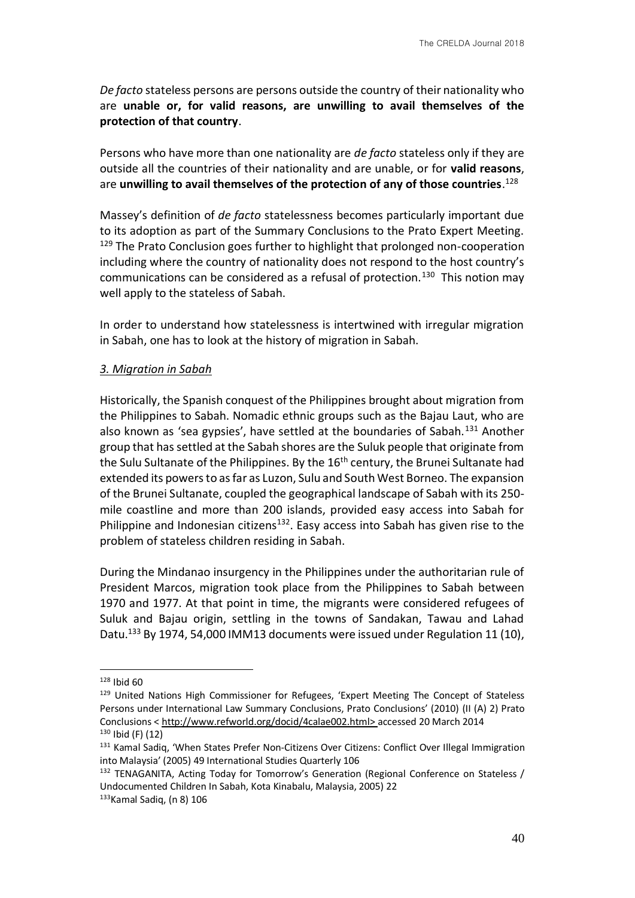*De facto* stateless persons are persons outside the country of their nationality who are **unable or, for valid reasons, are unwilling to avail themselves of the protection of that country**.

Persons who have more than one nationality are *de facto* stateless only if they are outside all the countries of their nationality and are unable, or for **valid reasons**, are **unwilling to avail themselves of the protection of any of those countries**. 128

Massey's definition of *de facto* statelessness becomes particularly important due to its adoption as part of the Summary Conclusions to the Prato Expert Meeting. <sup>129</sup> The Prato Conclusion goes further to highlight that prolonged non-cooperation including where the country of nationality does not respond to the host country's communications can be considered as a refusal of protection.<sup>130</sup> This notion may well apply to the stateless of Sabah.

In order to understand how statelessness is intertwined with irregular migration in Sabah, one has to look at the history of migration in Sabah.

### *3. Migration in Sabah*

Historically, the Spanish conquest of the Philippines brought about migration from the Philippines to Sabah. Nomadic ethnic groups such as the Bajau Laut, who are also known as 'sea gypsies', have settled at the boundaries of Sabah.<sup>131</sup> Another group that has settled at the Sabah shores are the Suluk people that originate from the Sulu Sultanate of the Philippines. By the 16<sup>th</sup> century, the Brunei Sultanate had extended its powers to as far as Luzon, Sulu and South West Borneo. The expansion of the Brunei Sultanate, coupled the geographical landscape of Sabah with its 250 mile coastline and more than 200 islands, provided easy access into Sabah for Philippine and Indonesian citizens<sup>132</sup>. Easy access into Sabah has given rise to the problem of stateless children residing in Sabah.

During the Mindanao insurgency in the Philippines under the authoritarian rule of President Marcos, migration took place from the Philippines to Sabah between 1970 and 1977. At that point in time, the migrants were considered refugees of Suluk and Bajau origin, settling in the towns of Sandakan, Tawau and Lahad Datu.<sup>133</sup> By 1974, 54,000 IMM13 documents were issued under Regulation 11 (10),

<sup>128</sup> Ibid 60

<sup>129</sup> United Nations High Commissioner for Refugees, 'Expert Meeting The Concept of Stateless Persons under International Law Summary Conclusions, Prato Conclusions' (2010) (II (A) 2) Prato Conclusions < http://www.refworld.org/docid/4calae002.html> accessed 20 March 2014  $130$  Ibid (F) (12)

<sup>131</sup> Kamal Sadiq, 'When States Prefer Non-Citizens Over Citizens: Conflict Over Illegal Immigration into Malaysia' (2005) 49 International Studies Quarterly 106

<sup>&</sup>lt;sup>132</sup> TENAGANITA, Acting Today for Tomorrow's Generation (Regional Conference on Stateless / Undocumented Children In Sabah, Kota Kinabalu, Malaysia, 2005) 22

 $133$ Kamal Sadiq, (n 8) 106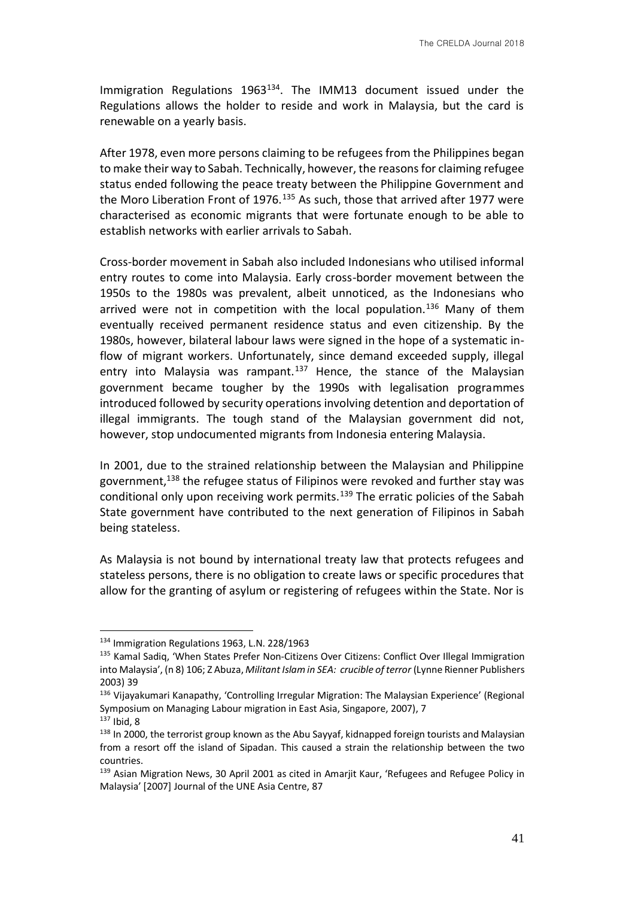Immigration Regulations  $1963^{134}$ . The IMM13 document issued under the Regulations allows the holder to reside and work in Malaysia, but the card is renewable on a yearly basis.

After 1978, even more persons claiming to be refugees from the Philippines began to make their way to Sabah. Technically, however, the reasons for claiming refugee status ended following the peace treaty between the Philippine Government and the Moro Liberation Front of 1976.<sup>135</sup> As such, those that arrived after 1977 were characterised as economic migrants that were fortunate enough to be able to establish networks with earlier arrivals to Sabah.

Cross-border movement in Sabah also included Indonesians who utilised informal entry routes to come into Malaysia. Early cross-border movement between the 1950s to the 1980s was prevalent, albeit unnoticed, as the Indonesians who arrived were not in competition with the local population.<sup>136</sup> Many of them eventually received permanent residence status and even citizenship. By the 1980s, however, bilateral labour laws were signed in the hope of a systematic inflow of migrant workers. Unfortunately, since demand exceeded supply, illegal entry into Malaysia was rampant.<sup>137</sup> Hence, the stance of the Malaysian government became tougher by the 1990s with legalisation programmes introduced followed by security operations involving detention and deportation of illegal immigrants. The tough stand of the Malaysian government did not, however, stop undocumented migrants from Indonesia entering Malaysia.

In 2001, due to the strained relationship between the Malaysian and Philippine government,<sup>138</sup> the refugee status of Filipinos were revoked and further stay was conditional only upon receiving work permits.<sup>139</sup> The erratic policies of the Sabah State government have contributed to the next generation of Filipinos in Sabah being stateless.

As Malaysia is not bound by international treaty law that protects refugees and stateless persons, there is no obligation to create laws or specific procedures that allow for the granting of asylum or registering of refugees within the State. Nor is

<sup>134</sup> Immigration Regulations 1963, L.N. 228/1963

<sup>135</sup> Kamal Sadiq, 'When States Prefer Non-Citizens Over Citizens: Conflict Over Illegal Immigration into Malaysia', (n 8) 106; Z Abuza, *Militant Islam in SEA: crucible of terror* (Lynne Rienner Publishers 2003) 39

<sup>136</sup> Vijayakumari Kanapathy, 'Controlling Irregular Migration: The Malaysian Experience' (Regional Symposium on Managing Labour migration in East Asia, Singapore, 2007), 7

 $137$  Ibid, 8

<sup>138</sup> In 2000, the terrorist group known as the Abu Sayyaf, kidnapped foreign tourists and Malaysian from a resort off the island of Sipadan. This caused a strain the relationship between the two countries.

<sup>&</sup>lt;sup>139</sup> Asian Migration News, 30 April 2001 as cited in Amarjit Kaur, 'Refugees and Refugee Policy in Malaysia' [2007] Journal of the UNE Asia Centre, 87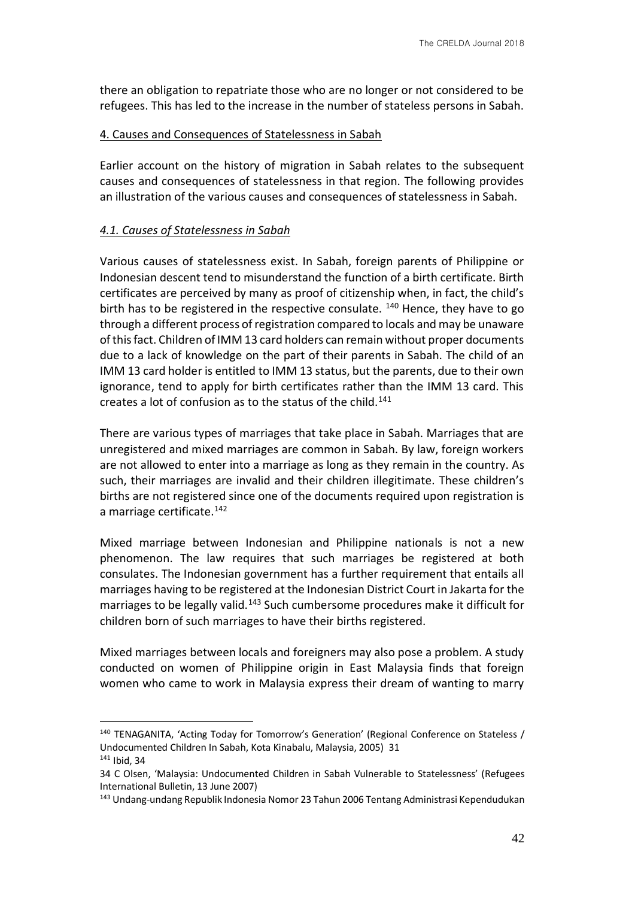there an obligation to repatriate those who are no longer or not considered to be refugees. This has led to the increase in the number of stateless persons in Sabah.

#### 4. Causes and Consequences of Statelessness in Sabah

Earlier account on the history of migration in Sabah relates to the subsequent causes and consequences of statelessness in that region. The following provides an illustration of the various causes and consequences of statelessness in Sabah.

# *4.1. Causes of Statelessness in Sabah*

Various causes of statelessness exist. In Sabah, foreign parents of Philippine or Indonesian descent tend to misunderstand the function of a birth certificate. Birth certificates are perceived by many as proof of citizenship when, in fact, the child's birth has to be registered in the respective consulate. <sup>140</sup> Hence, they have to go through a different process of registration compared to locals and may be unaware of this fact. Children of IMM 13 card holders can remain without proper documents due to a lack of knowledge on the part of their parents in Sabah. The child of an IMM 13 card holder is entitled to IMM 13 status, but the parents, due to their own ignorance, tend to apply for birth certificates rather than the IMM 13 card. This creates a lot of confusion as to the status of the child.<sup>141</sup>

There are various types of marriages that take place in Sabah. Marriages that are unregistered and mixed marriages are common in Sabah. By law, foreign workers are not allowed to enter into a marriage as long as they remain in the country. As such, their marriages are invalid and their children illegitimate. These children's births are not registered since one of the documents required upon registration is a marriage certificate.<sup>142</sup>

Mixed marriage between Indonesian and Philippine nationals is not a new phenomenon. The law requires that such marriages be registered at both consulates. The Indonesian government has a further requirement that entails all marriages having to be registered at the Indonesian District Court in Jakarta for the marriages to be legally valid.<sup>143</sup> Such cumbersome procedures make it difficult for children born of such marriages to have their births registered.

Mixed marriages between locals and foreigners may also pose a problem. A study conducted on women of Philippine origin in East Malaysia finds that foreign women who came to work in Malaysia express their dream of wanting to marry

<sup>&</sup>lt;sup>140</sup> TENAGANITA, 'Acting Today for Tomorrow's Generation' (Regional Conference on Stateless / Undocumented Children In Sabah, Kota Kinabalu, Malaysia, 2005) 31

<sup>141</sup> Ibid, 34

<sup>34</sup> C Olsen, 'Malaysia: Undocumented Children in Sabah Vulnerable to Statelessness' (Refugees International Bulletin, 13 June 2007)

<sup>143</sup> Undang-undang Republik Indonesia Nomor 23 Tahun 2006 Tentang Administrasi Kependudukan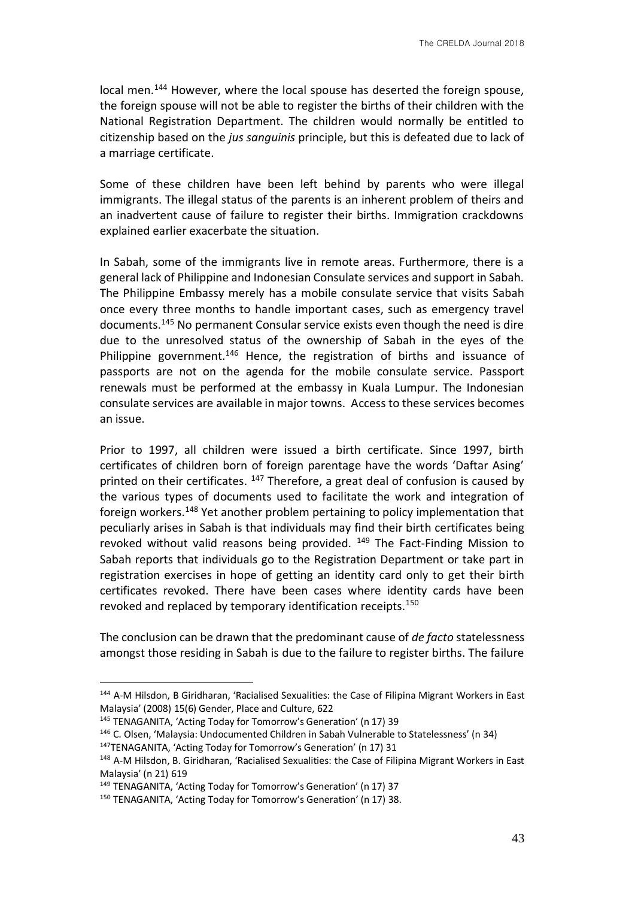local men.<sup>144</sup> However, where the local spouse has deserted the foreign spouse, the foreign spouse will not be able to register the births of their children with the National Registration Department. The children would normally be entitled to citizenship based on the *jus sanguinis* principle, but this is defeated due to lack of a marriage certificate.

Some of these children have been left behind by parents who were illegal immigrants. The illegal status of the parents is an inherent problem of theirs and an inadvertent cause of failure to register their births. Immigration crackdowns explained earlier exacerbate the situation.

In Sabah, some of the immigrants live in remote areas. Furthermore, there is a general lack of Philippine and Indonesian Consulate services and support in Sabah. The Philippine Embassy merely has a mobile consulate service that visits Sabah once every three months to handle important cases, such as emergency travel documents.<sup>145</sup> No permanent Consular service exists even though the need is dire due to the unresolved status of the ownership of Sabah in the eyes of the Philippine government.<sup>146</sup> Hence, the registration of births and issuance of passports are not on the agenda for the mobile consulate service. Passport renewals must be performed at the embassy in Kuala Lumpur. The Indonesian consulate services are available in major towns. Access to these services becomes an issue.

Prior to 1997, all children were issued a birth certificate. Since 1997, birth certificates of children born of foreign parentage have the words 'Daftar Asing' printed on their certificates.  $147$  Therefore, a great deal of confusion is caused by the various types of documents used to facilitate the work and integration of foreign workers.<sup>148</sup> Yet another problem pertaining to policy implementation that peculiarly arises in Sabah is that individuals may find their birth certificates being revoked without valid reasons being provided. <sup>149</sup> The Fact-Finding Mission to Sabah reports that individuals go to the Registration Department or take part in registration exercises in hope of getting an identity card only to get their birth certificates revoked. There have been cases where identity cards have been revoked and replaced by temporary identification receipts.<sup>150</sup>

The conclusion can be drawn that the predominant cause of *de facto* statelessness amongst those residing in Sabah is due to the failure to register births. The failure

<sup>144</sup> A-M Hilsdon, B Giridharan, 'Racialised Sexualities: the Case of Filipina Migrant Workers in East Malaysia' (2008) 15(6) Gender, Place and Culture, 622

<sup>145</sup> TENAGANITA, 'Acting Today for Tomorrow's Generation' (n 17) 39

<sup>146</sup> C. Olsen, 'Malaysia: Undocumented Children in Sabah Vulnerable to Statelessness' (n 34) <sup>147</sup>TENAGANITA, 'Acting Today for Tomorrow's Generation' (n 17) 31

<sup>&</sup>lt;sup>148</sup> A-M Hilsdon, B. Giridharan, 'Racialised Sexualities: the Case of Filipina Migrant Workers in East Malaysia' (n 21) 619

<sup>149</sup> TENAGANITA, 'Acting Today for Tomorrow's Generation' (n 17) 37

<sup>150</sup> TENAGANITA, 'Acting Today for Tomorrow's Generation' (n 17) 38.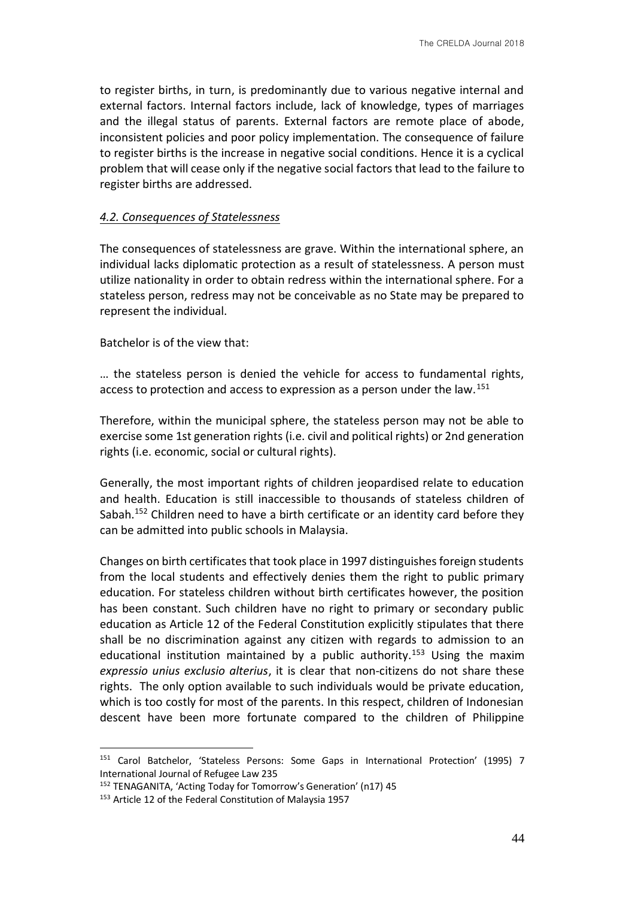to register births, in turn, is predominantly due to various negative internal and external factors. Internal factors include, lack of knowledge, types of marriages and the illegal status of parents. External factors are remote place of abode, inconsistent policies and poor policy implementation. The consequence of failure to register births is the increase in negative social conditions. Hence it is a cyclical problem that will cease only if the negative social factors that lead to the failure to register births are addressed.

### *4.2. Consequences of Statelessness*

The consequences of statelessness are grave. Within the international sphere, an individual lacks diplomatic protection as a result of statelessness. A person must utilize nationality in order to obtain redress within the international sphere. For a stateless person, redress may not be conceivable as no State may be prepared to represent the individual.

Batchelor is of the view that:

… the stateless person is denied the vehicle for access to fundamental rights, access to protection and access to expression as a person under the law.<sup>151</sup>

Therefore, within the municipal sphere, the stateless person may not be able to exercise some 1st generation rights (i.e. civil and political rights) or 2nd generation rights (i.e. economic, social or cultural rights).

Generally, the most important rights of children jeopardised relate to education and health. Education is still inaccessible to thousands of stateless children of Sabah.<sup>152</sup> Children need to have a birth certificate or an identity card before they can be admitted into public schools in Malaysia.

Changes on birth certificates that took place in 1997 distinguishes foreign students from the local students and effectively denies them the right to public primary education. For stateless children without birth certificates however, the position has been constant. Such children have no right to primary or secondary public education as Article 12 of the Federal Constitution explicitly stipulates that there shall be no discrimination against any citizen with regards to admission to an educational institution maintained by a public authority.<sup>153</sup> Using the maxim *expressio unius exclusio alterius*, it is clear that non-citizens do not share these rights. The only option available to such individuals would be private education, which is too costly for most of the parents. In this respect, children of Indonesian descent have been more fortunate compared to the children of Philippine

1

<sup>151</sup> Carol Batchelor, 'Stateless Persons: Some Gaps in International Protection' (1995) 7 International Journal of Refugee Law 235

<sup>152</sup> TENAGANITA, 'Acting Today for Tomorrow's Generation' (n17) 45

<sup>&</sup>lt;sup>153</sup> Article 12 of the Federal Constitution of Malaysia 1957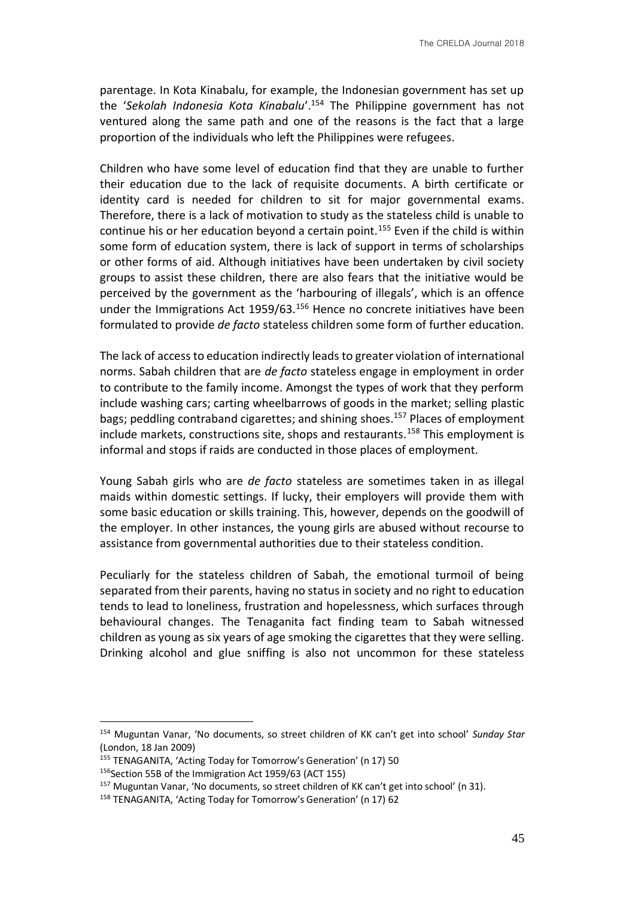parentage. In Kota Kinabalu, for example, the Indonesian government has set up the '*Sekolah Indonesia Kota Kinabalu*'.<sup>154</sup> The Philippine government has not ventured along the same path and one of the reasons is the fact that a large proportion of the individuals who left the Philippines were refugees.

Children who have some level of education find that they are unable to further their education due to the lack of requisite documents. A birth certificate or identity card is needed for children to sit for major governmental exams. Therefore, there is a lack of motivation to study as the stateless child is unable to continue his or her education beyond a certain point.<sup>155</sup> Even if the child is within some form of education system, there is lack of support in terms of scholarships or other forms of aid. Although initiatives have been undertaken by civil society groups to assist these children, there are also fears that the initiative would be perceived by the government as the 'harbouring of illegals', which is an offence under the Immigrations Act 1959/63.<sup>156</sup> Hence no concrete initiatives have been formulated to provide *de facto* stateless children some form of further education.

The lack of access to education indirectly leads to greater violation of international norms. Sabah children that are *de facto* stateless engage in employment in order to contribute to the family income. Amongst the types of work that they perform include washing cars; carting wheelbarrows of goods in the market; selling plastic bags; peddling contraband cigarettes; and shining shoes.<sup>157</sup> Places of employment include markets, constructions site, shops and restaurants.<sup>158</sup> This employment is informal and stops if raids are conducted in those places of employment.

Young Sabah girls who are *de facto* stateless are sometimes taken in as illegal maids within domestic settings. If lucky, their employers will provide them with some basic education or skills training. This, however, depends on the goodwill of the employer. In other instances, the young girls are abused without recourse to assistance from governmental authorities due to their stateless condition.

Peculiarly for the stateless children of Sabah, the emotional turmoil of being separated from their parents, having no status in society and no right to education tends to lead to loneliness, frustration and hopelessness, which surfaces through behavioural changes. The Tenaganita fact finding team to Sabah witnessed children as young as six years of age smoking the cigarettes that they were selling. Drinking alcohol and glue sniffing is also not uncommon for these stateless

<sup>154</sup> Muguntan Vanar, 'No documents, so street children of KK can't get into school' *Sunday Star*  (London, 18 Jan 2009)

<sup>155</sup> TENAGANITA, 'Acting Today for Tomorrow's Generation' (n 17) 50

<sup>156</sup> Section 55B of the Immigration Act 1959/63 (ACT 155)

<sup>157</sup> Muguntan Vanar, 'No documents, so street children of KK can't get into school' (n 31).

<sup>158</sup> TENAGANITA, 'Acting Today for Tomorrow's Generation' (n 17) 62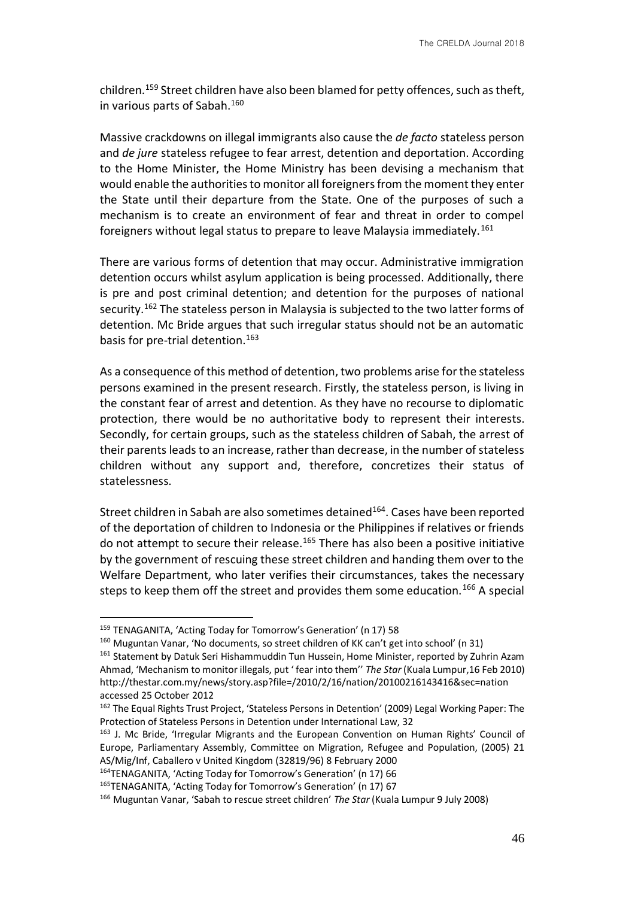children.<sup>159</sup> Street children have also been blamed for petty offences, such as theft, in various parts of Sabah.<sup>160</sup>

Massive crackdowns on illegal immigrants also cause the *de facto* stateless person and *de jure* stateless refugee to fear arrest, detention and deportation. According to the Home Minister, the Home Ministry has been devising a mechanism that would enable the authorities to monitor all foreigners from the moment they enter the State until their departure from the State. One of the purposes of such a mechanism is to create an environment of fear and threat in order to compel foreigners without legal status to prepare to leave Malaysia immediately.<sup>161</sup>

There are various forms of detention that may occur. Administrative immigration detention occurs whilst asylum application is being processed. Additionally, there is pre and post criminal detention; and detention for the purposes of national security.<sup>162</sup> The stateless person in Malaysia is subjected to the two latter forms of detention. Mc Bride argues that such irregular status should not be an automatic basis for pre-trial detention.<sup>163</sup>

As a consequence of this method of detention, two problems arise for the stateless persons examined in the present research. Firstly, the stateless person, is living in the constant fear of arrest and detention. As they have no recourse to diplomatic protection, there would be no authoritative body to represent their interests. Secondly, for certain groups, such as the stateless children of Sabah, the arrest of their parents leads to an increase, rather than decrease, in the number of stateless children without any support and, therefore, concretizes their status of statelessness.

Street children in Sabah are also sometimes detained<sup>164</sup>. Cases have been reported of the deportation of children to Indonesia or the Philippines if relatives or friends do not attempt to secure their release.<sup>165</sup> There has also been a positive initiative by the government of rescuing these street children and handing them over to the Welfare Department, who later verifies their circumstances, takes the necessary steps to keep them off the street and provides them some education.<sup>166</sup> A special

1

<sup>164</sup>TENAGANITA, 'Acting Today for Tomorrow's Generation' (n 17) 66

<sup>159</sup> TENAGANITA, 'Acting Today for Tomorrow's Generation' (n 17) 58

<sup>160</sup> Muguntan Vanar, 'No documents, so street children of KK can't get into school' (n 31)

<sup>&</sup>lt;sup>161</sup> Statement by Datuk Seri Hishammuddin Tun Hussein, Home Minister, reported by Zuhrin Azam Ahmad, 'Mechanism to monitor illegals, put ' fear into them'' *The Star* (Kuala Lumpur,16 Feb 2010) http://thestar.com.my/news/story.asp?file=/2010/2/16/nation/20100216143416&sec=nation accessed 25 October 2012

<sup>&</sup>lt;sup>162</sup> The Equal Rights Trust Project, 'Stateless Persons in Detention' (2009) Legal Working Paper: The Protection of Stateless Persons in Detention under International Law, 32

<sup>&</sup>lt;sup>163</sup> J. Mc Bride, 'Irregular Migrants and the European Convention on Human Rights' Council of Europe, Parliamentary Assembly, Committee on Migration, Refugee and Population, (2005) 21 AS/Mig/Inf, Caballero v United Kingdom (32819/96) 8 February 2000

<sup>165</sup>TENAGANITA, 'Acting Today for Tomorrow's Generation' (n 17) 67

<sup>166</sup> Muguntan Vanar, 'Sabah to rescue street children' *The Star* (Kuala Lumpur 9 July 2008)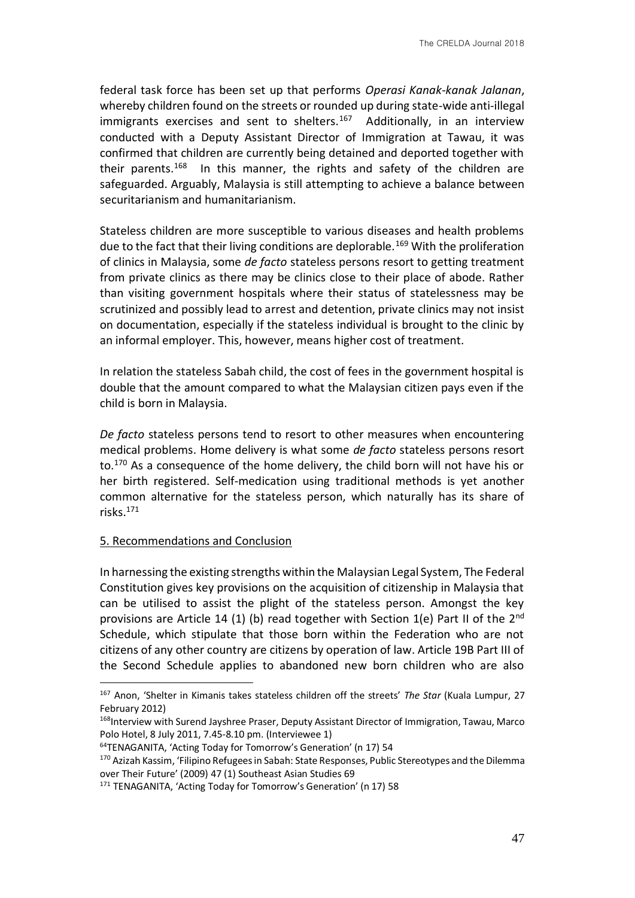federal task force has been set up that performs *Operasi Kanak-kanak Jalanan*, whereby children found on the streets or rounded up during state-wide anti-illegal immigrants exercises and sent to shelters.<sup>167</sup> Additionally, in an interview conducted with a Deputy Assistant Director of Immigration at Tawau, it was confirmed that children are currently being detained and deported together with their parents.<sup>168</sup> In this manner, the rights and safety of the children are safeguarded. Arguably, Malaysia is still attempting to achieve a balance between securitarianism and humanitarianism.

Stateless children are more susceptible to various diseases and health problems due to the fact that their living conditions are deplorable.<sup>169</sup> With the proliferation of clinics in Malaysia, some *de facto* stateless persons resort to getting treatment from private clinics as there may be clinics close to their place of abode. Rather than visiting government hospitals where their status of statelessness may be scrutinized and possibly lead to arrest and detention, private clinics may not insist on documentation, especially if the stateless individual is brought to the clinic by an informal employer. This, however, means higher cost of treatment.

In relation the stateless Sabah child, the cost of fees in the government hospital is double that the amount compared to what the Malaysian citizen pays even if the child is born in Malaysia.

*De facto* stateless persons tend to resort to other measures when encountering medical problems. Home delivery is what some *de facto* stateless persons resort to.<sup>170</sup> As a consequence of the home delivery, the child born will not have his or her birth registered. Self-medication using traditional methods is yet another common alternative for the stateless person, which naturally has its share of risks.<sup>171</sup>

#### 5. Recommendations and Conclusion

<u>.</u>

In harnessing the existing strengths within the Malaysian Legal System, The Federal Constitution gives key provisions on the acquisition of citizenship in Malaysia that can be utilised to assist the plight of the stateless person. Amongst the key provisions are Article 14 (1) (b) read together with Section 1(e) Part II of the  $2<sup>nd</sup>$ Schedule, which stipulate that those born within the Federation who are not citizens of any other country are citizens by operation of law. Article 19B Part III of the Second Schedule applies to abandoned new born children who are also

<sup>167</sup> Anon, 'Shelter in Kimanis takes stateless children off the streets' *The Star* (Kuala Lumpur, 27 February 2012)

<sup>168</sup>Interview with Surend Jayshree Praser, Deputy Assistant Director of Immigration, Tawau, Marco Polo Hotel, 8 July 2011, 7.45-8.10 pm. (Interviewee 1)

<sup>64</sup>TENAGANITA, 'Acting Today for Tomorrow's Generation' (n 17) 54

<sup>&</sup>lt;sup>170</sup> Azizah Kassim, 'Filipino Refugees in Sabah: State Responses, Public Stereotypes and the Dilemma over Their Future' (2009) 47 (1) Southeast Asian Studies 69

<sup>171</sup> TENAGANITA, 'Acting Today for Tomorrow's Generation' (n 17) 58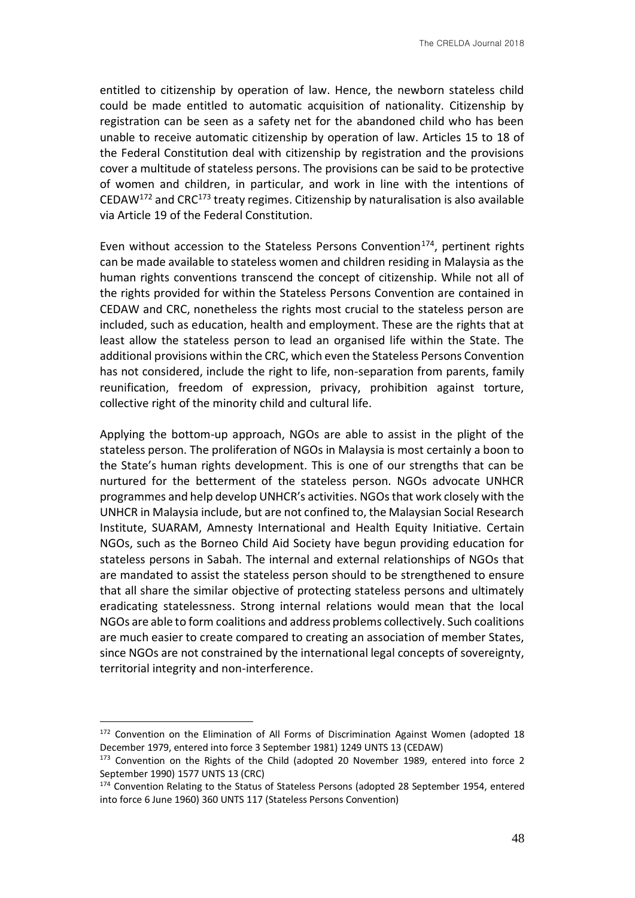entitled to citizenship by operation of law. Hence, the newborn stateless child could be made entitled to automatic acquisition of nationality. Citizenship by registration can be seen as a safety net for the abandoned child who has been unable to receive automatic citizenship by operation of law. Articles 15 to 18 of the Federal Constitution deal with citizenship by registration and the provisions cover a multitude of stateless persons. The provisions can be said to be protective of women and children, in particular, and work in line with the intentions of CEDAW<sup>172</sup> and CRC<sup>173</sup> treaty regimes. Citizenship by naturalisation is also available via Article 19 of the Federal Constitution.

Even without accession to the Stateless Persons Convention<sup>174</sup>, pertinent rights can be made available to stateless women and children residing in Malaysia as the human rights conventions transcend the concept of citizenship. While not all of the rights provided for within the Stateless Persons Convention are contained in CEDAW and CRC, nonetheless the rights most crucial to the stateless person are included, such as education, health and employment. These are the rights that at least allow the stateless person to lead an organised life within the State. The additional provisions within the CRC, which even the Stateless Persons Convention has not considered, include the right to life, non-separation from parents, family reunification, freedom of expression, privacy, prohibition against torture, collective right of the minority child and cultural life.

Applying the bottom-up approach, NGOs are able to assist in the plight of the stateless person. The proliferation of NGOs in Malaysia is most certainly a boon to the State's human rights development. This is one of our strengths that can be nurtured for the betterment of the stateless person. NGOs advocate UNHCR programmes and help develop UNHCR's activities. NGOs that work closely with the UNHCR in Malaysia include, but are not confined to, the Malaysian Social Research Institute, SUARAM, Amnesty International and Health Equity Initiative. Certain NGOs, such as the Borneo Child Aid Society have begun providing education for stateless persons in Sabah. The internal and external relationships of NGOs that are mandated to assist the stateless person should to be strengthened to ensure that all share the similar objective of protecting stateless persons and ultimately eradicating statelessness. Strong internal relations would mean that the local NGOs are able to form coalitions and address problems collectively. Such coalitions are much easier to create compared to creating an association of member States, since NGOs are not constrained by the international legal concepts of sovereignty, territorial integrity and non-interference.

<sup>&</sup>lt;sup>172</sup> Convention on the Elimination of All Forms of Discrimination Against Women (adopted 18 December 1979, entered into force 3 September 1981) 1249 UNTS 13 (CEDAW)

<sup>&</sup>lt;sup>173</sup> Convention on the Rights of the Child (adopted 20 November 1989, entered into force 2 September 1990) 1577 UNTS 13 (CRC)

<sup>174</sup> Convention Relating to the Status of Stateless Persons (adopted 28 September 1954, entered into force 6 June 1960) 360 UNTS 117 (Stateless Persons Convention)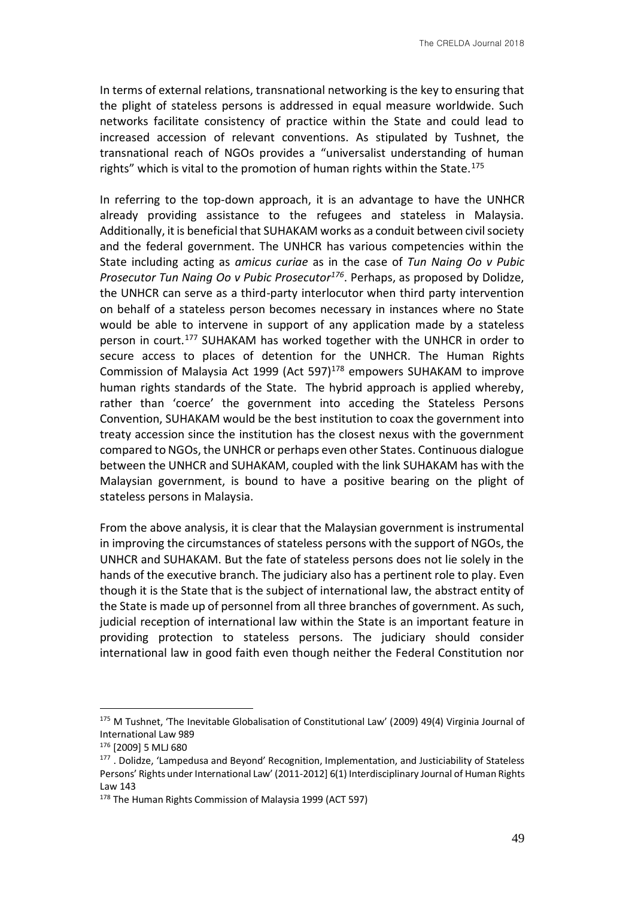In terms of external relations, transnational networking is the key to ensuring that the plight of stateless persons is addressed in equal measure worldwide. Such networks facilitate consistency of practice within the State and could lead to increased accession of relevant conventions. As stipulated by Tushnet, the transnational reach of NGOs provides a "universalist understanding of human rights" which is vital to the promotion of human rights within the State.<sup>175</sup>

In referring to the top-down approach, it is an advantage to have the UNHCR already providing assistance to the refugees and stateless in Malaysia. Additionally, it is beneficial that SUHAKAM works as a conduit between civil society and the federal government. The UNHCR has various competencies within the State including acting as *amicus curiae* as in the case of *Tun Naing Oo v Pubic Prosecutor Tun Naing Oo v Pubic Prosecutor<sup>176</sup>*. Perhaps, as proposed by Dolidze, the UNHCR can serve as a third-party interlocutor when third party intervention on behalf of a stateless person becomes necessary in instances where no State would be able to intervene in support of any application made by a stateless person in court.<sup>177</sup> SUHAKAM has worked together with the UNHCR in order to secure access to places of detention for the UNHCR. The Human Rights Commission of Malaysia Act 1999 (Act 597) $178$  empowers SUHAKAM to improve human rights standards of the State. The hybrid approach is applied whereby, rather than 'coerce' the government into acceding the Stateless Persons Convention, SUHAKAM would be the best institution to coax the government into treaty accession since the institution has the closest nexus with the government compared to NGOs, the UNHCR or perhaps even other States. Continuous dialogue between the UNHCR and SUHAKAM, coupled with the link SUHAKAM has with the Malaysian government, is bound to have a positive bearing on the plight of stateless persons in Malaysia.

From the above analysis, it is clear that the Malaysian government is instrumental in improving the circumstances of stateless persons with the support of NGOs, the UNHCR and SUHAKAM. But the fate of stateless persons does not lie solely in the hands of the executive branch. The judiciary also has a pertinent role to play. Even though it is the State that is the subject of international law, the abstract entity of the State is made up of personnel from all three branches of government. As such, judicial reception of international law within the State is an important feature in providing protection to stateless persons. The judiciary should consider international law in good faith even though neither the Federal Constitution nor

1

<sup>&</sup>lt;sup>175</sup> M Tushnet, 'The Inevitable Globalisation of Constitutional Law' (2009) 49(4) Virginia Journal of International Law 989

<sup>176</sup> [2009] 5 MLJ 680

<sup>&</sup>lt;sup>177</sup>. Dolidze, 'Lampedusa and Beyond' Recognition, Implementation, and Justiciability of Stateless Persons' Rights under International Law' (2011-2012] 6(1) Interdisciplinary Journal of Human Rights Law 143

<sup>178</sup> The Human Rights Commission of Malaysia 1999 (ACT 597)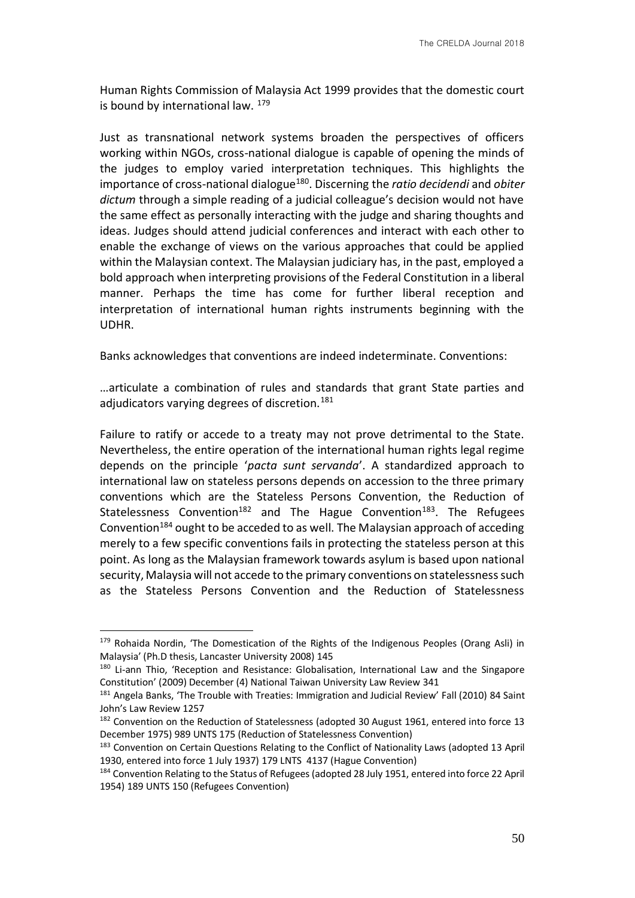Human Rights Commission of Malaysia Act 1999 provides that the domestic court is bound by international law.  $179$ 

Just as transnational network systems broaden the perspectives of officers working within NGOs, cross-national dialogue is capable of opening the minds of the judges to employ varied interpretation techniques. This highlights the importance of cross-national dialogue<sup>180</sup>. Discerning the *ratio decidendi* and *obiter dictum* through a simple reading of a judicial colleague's decision would not have the same effect as personally interacting with the judge and sharing thoughts and ideas. Judges should attend judicial conferences and interact with each other to enable the exchange of views on the various approaches that could be applied within the Malaysian context. The Malaysian judiciary has, in the past, employed a bold approach when interpreting provisions of the Federal Constitution in a liberal manner. Perhaps the time has come for further liberal reception and interpretation of international human rights instruments beginning with the UDHR.

Banks acknowledges that conventions are indeed indeterminate. Conventions:

…articulate a combination of rules and standards that grant State parties and adjudicators varying degrees of discretion.<sup>181</sup>

Failure to ratify or accede to a treaty may not prove detrimental to the State. Nevertheless, the entire operation of the international human rights legal regime depends on the principle '*pacta sunt servanda*'. A standardized approach to international law on stateless persons depends on accession to the three primary conventions which are the Stateless Persons Convention, the Reduction of Statelessness Convention<sup>182</sup> and The Hague Convention<sup>183</sup>. The Refugees Convention<sup>184</sup> ought to be acceded to as well. The Malaysian approach of acceding merely to a few specific conventions fails in protecting the stateless person at this point. As long as the Malaysian framework towards asylum is based upon national security, Malaysia will not accede to the primary conventions on statelessness such as the Stateless Persons Convention and the Reduction of Statelessness

<sup>179</sup> Rohaida Nordin, 'The Domestication of the Rights of the Indigenous Peoples (Orang Asli) in Malaysia' (Ph.D thesis, Lancaster University 2008) 145

<sup>&</sup>lt;sup>180</sup> Li-ann Thio, 'Reception and Resistance: Globalisation, International Law and the Singapore Constitution' (2009) December (4) National Taiwan University Law Review 341

<sup>&</sup>lt;sup>181</sup> Angela Banks, 'The Trouble with Treaties: Immigration and Judicial Review' Fall (2010) 84 Saint John's Law Review 1257

<sup>&</sup>lt;sup>182</sup> Convention on the Reduction of Statelessness (adopted 30 August 1961, entered into force 13 December 1975) 989 UNTS 175 (Reduction of Statelessness Convention)

<sup>183</sup> Convention on Certain Questions Relating to the Conflict of Nationality Laws (adopted 13 April 1930, entered into force 1 July 1937) 179 LNTS 4137 (Hague Convention)

<sup>184</sup> Convention Relating to the Status of Refugees (adopted 28 July 1951, entered into force 22 April 1954) 189 UNTS 150 (Refugees Convention)